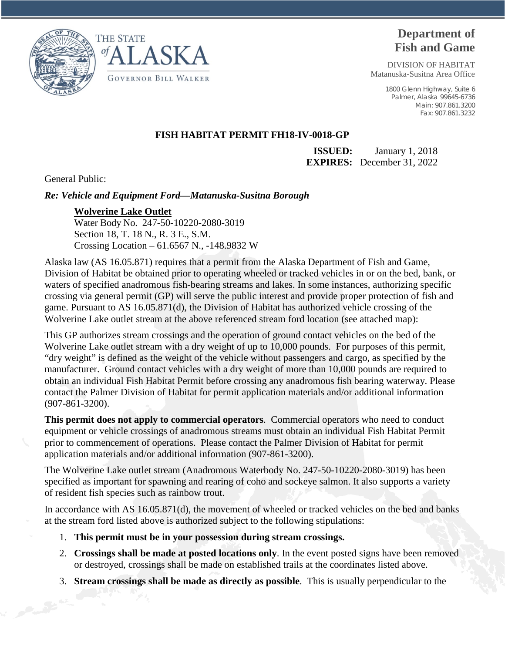



## **Department of Fish and Game**

DIVISION OF HABITAT Matanuska-Susitna Area Office

> 1800 Glenn Highway, Suite 6 Palmer, Alaska 99645-6736 Main: 907.861.3200 Fax: 907.861.3232

## **FISH HABITAT PERMIT FH18-IV-0018-GP**

**ISSUED:** January 1, 2018 **EXPIRES:** December 31, 2022

General Public:

*Re: Vehicle and Equipment Ford—Matanuska-Susitna Borough* 

## **Wolverine Lake Outlet**

Water Body No. 247-50-10220-2080-3019 Section 18, T. 18 N., R. 3 E., S.M. Crossing Location – 61.6567 N., -148.9832 W

Alaska law (AS 16.05.871) requires that a permit from the Alaska Department of Fish and Game, Division of Habitat be obtained prior to operating wheeled or tracked vehicles in or on the bed, bank, or waters of specified anadromous fish-bearing streams and lakes. In some instances, authorizing specific crossing via general permit (GP) will serve the public interest and provide proper protection of fish and game. Pursuant to AS 16.05.871(d), the Division of Habitat has authorized vehicle crossing of the Wolverine Lake outlet stream at the above referenced stream ford location (see attached map):

This GP authorizes stream crossings and the operation of ground contact vehicles on the bed of the Wolverine Lake outlet stream with a dry weight of up to 10,000 pounds. For purposes of this permit, "dry weight" is defined as the weight of the vehicle without passengers and cargo, as specified by the manufacturer. Ground contact vehicles with a dry weight of more than 10,000 pounds are required to obtain an individual Fish Habitat Permit before crossing any anadromous fish bearing waterway. Please contact the Palmer Division of Habitat for permit application materials and/or additional information (907-861-3200).

**This permit does not apply to commercial operators**. Commercial operators who need to conduct equipment or vehicle crossings of anadromous streams must obtain an individual Fish Habitat Permit prior to commencement of operations. Please contact the Palmer Division of Habitat for permit application materials and/or additional information (907-861-3200).

The Wolverine Lake outlet stream (Anadromous Waterbody No. 247-50-10220-2080-3019) has been specified as important for spawning and rearing of coho and sockeye salmon. It also supports a variety of resident fish species such as rainbow trout.

In accordance with AS 16.05.871(d), the movement of wheeled or tracked vehicles on the bed and banks at the stream ford listed above is authorized subject to the following stipulations:

- 1. **This permit must be in your possession during stream crossings.**
- 2. **Crossings shall be made at posted locations only**. In the event posted signs have been removed or destroyed, crossings shall be made on established trails at the coordinates listed above.
- 3. **Stream crossings shall be made as directly as possible**. This is usually perpendicular to the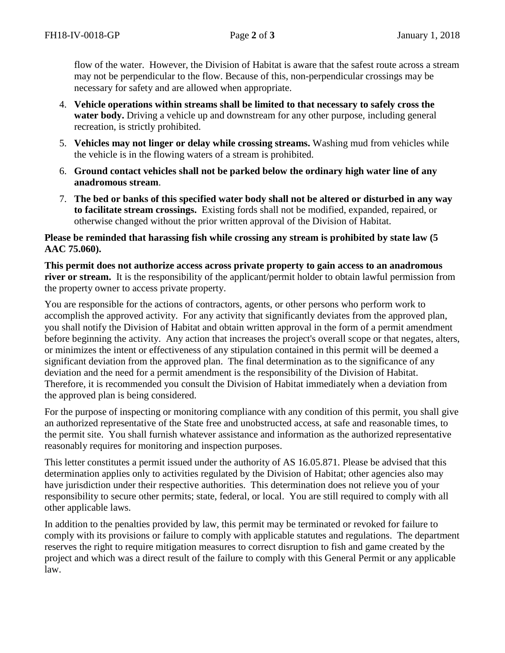flow of the water. However, the Division of Habitat is aware that the safest route across a stream may not be perpendicular to the flow. Because of this, non-perpendicular crossings may be necessary for safety and are allowed when appropriate.

- 4. **Vehicle operations within streams shall be limited to that necessary to safely cross the water body.** Driving a vehicle up and downstream for any other purpose, including general recreation, is strictly prohibited.
- 5. **Vehicles may not linger or delay while crossing streams.** Washing mud from vehicles while the vehicle is in the flowing waters of a stream is prohibited.
- 6. **Ground contact vehicles shall not be parked below the ordinary high water line of any anadromous stream**.
- 7. **The bed or banks of this specified water body shall not be altered or disturbed in any way to facilitate stream crossings.** Existing fords shall not be modified, expanded, repaired, or otherwise changed without the prior written approval of the Division of Habitat.

## **Please be reminded that harassing fish while crossing any stream is prohibited by state law (5 AAC 75.060).**

**This permit does not authorize access across private property to gain access to an anadromous river or stream.** It is the responsibility of the applicant/permit holder to obtain lawful permission from the property owner to access private property.

You are responsible for the actions of contractors, agents, or other persons who perform work to accomplish the approved activity. For any activity that significantly deviates from the approved plan, you shall notify the Division of Habitat and obtain written approval in the form of a permit amendment before beginning the activity. Any action that increases the project's overall scope or that negates, alters, or minimizes the intent or effectiveness of any stipulation contained in this permit will be deemed a significant deviation from the approved plan. The final determination as to the significance of any deviation and the need for a permit amendment is the responsibility of the Division of Habitat. Therefore, it is recommended you consult the Division of Habitat immediately when a deviation from the approved plan is being considered.

For the purpose of inspecting or monitoring compliance with any condition of this permit, you shall give an authorized representative of the State free and unobstructed access, at safe and reasonable times, to the permit site. You shall furnish whatever assistance and information as the authorized representative reasonably requires for monitoring and inspection purposes.

This letter constitutes a permit issued under the authority of AS 16.05.871. Please be advised that this determination applies only to activities regulated by the Division of Habitat; other agencies also may have jurisdiction under their respective authorities. This determination does not relieve you of your responsibility to secure other permits; state, federal, or local. You are still required to comply with all other applicable laws.

In addition to the penalties provided by law, this permit may be terminated or revoked for failure to comply with its provisions or failure to comply with applicable statutes and regulations. The department reserves the right to require mitigation measures to correct disruption to fish and game created by the project and which was a direct result of the failure to comply with this General Permit or any applicable law.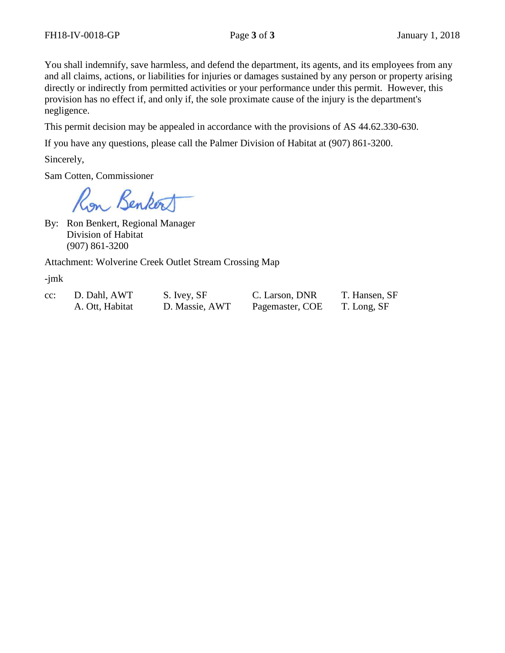You shall indemnify, save harmless, and defend the department, its agents, and its employees from any and all claims, actions, or liabilities for injuries or damages sustained by any person or property arising directly or indirectly from permitted activities or your performance under this permit. However, this provision has no effect if, and only if, the sole proximate cause of the injury is the department's negligence.

This permit decision may be appealed in accordance with the provisions of AS 44.62.330-630.

If you have any questions, please call the Palmer Division of Habitat at (907) 861-3200.

Sincerely,

Sam Cotten, Commissioner

Ron Benkort

By: Ron Benkert, Regional Manager Division of Habitat (907) 861-3200

Attachment: Wolverine Creek Outlet Stream Crossing Map

-jmk

cc: D. Dahl, AWT S. Ivey, SF C. Larson, DNR T. Hansen, SF

A. Ott, Habitat D. Massie, AWT Pagemaster, COE T. Long, SF